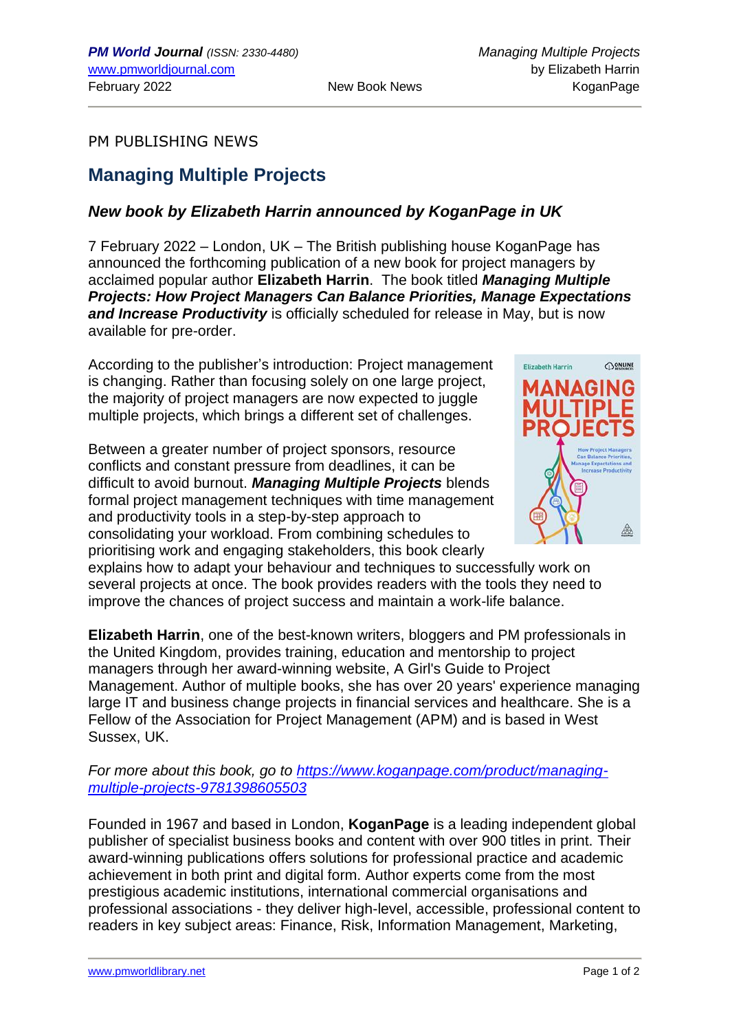## PM PUBLISHING NEWS

## **Managing Multiple Projects**

## *New book by Elizabeth Harrin announced by KoganPage in UK*

7 February 2022 – London, UK – The British publishing house KoganPage has announced the forthcoming publication of a new book for project managers by acclaimed popular author **Elizabeth Harrin**. The book titled *Managing Multiple Projects: How Project Managers Can Balance Priorities, Manage Expectations and Increase Productivity* is officially scheduled for release in May, but is now available for pre-order.

According to the publisher's introduction: Project management is changing. Rather than focusing solely on one large project, the majority of project managers are now expected to juggle multiple projects, which brings a different set of challenges.

Between a greater number of project sponsors, resource conflicts and constant pressure from deadlines, it can be difficult to avoid burnout. *Managing Multiple Projects* blends formal project management techniques with time management and productivity tools in a step-by-step approach to consolidating your workload. From combining schedules to prioritising work and engaging stakeholders, this book clearly



explains how to adapt your behaviour and techniques to successfully work on several projects at once. The book provides readers with the tools they need to improve the chances of project success and maintain a work-life balance.

**Elizabeth Harrin**, one of the best-known writers, bloggers and PM professionals in the United Kingdom, provides training, education and mentorship to project managers through her award-winning website, A Girl's Guide to Project Management. Author of multiple books, she has over 20 years' experience managing large IT and business change projects in financial services and healthcare. She is a Fellow of the Association for Project Management (APM) and is based in West Sussex, UK.

*For more about this book, go to [https://www.koganpage.com/product/managing](https://www.koganpage.com/product/managing-multiple-projects-9781398605503)[multiple-projects-9781398605503](https://www.koganpage.com/product/managing-multiple-projects-9781398605503)*

Founded in 1967 and based in London, **KoganPage** is a leading independent global publisher of specialist business books and content with over 900 titles in print. Their award-winning publications offers solutions for professional practice and academic achievement in both print and digital form. Author experts come from the most prestigious academic institutions, international commercial organisations and professional associations - they deliver high-level, accessible, professional content to readers in key subject areas: Finance, Risk, Information Management, Marketing,